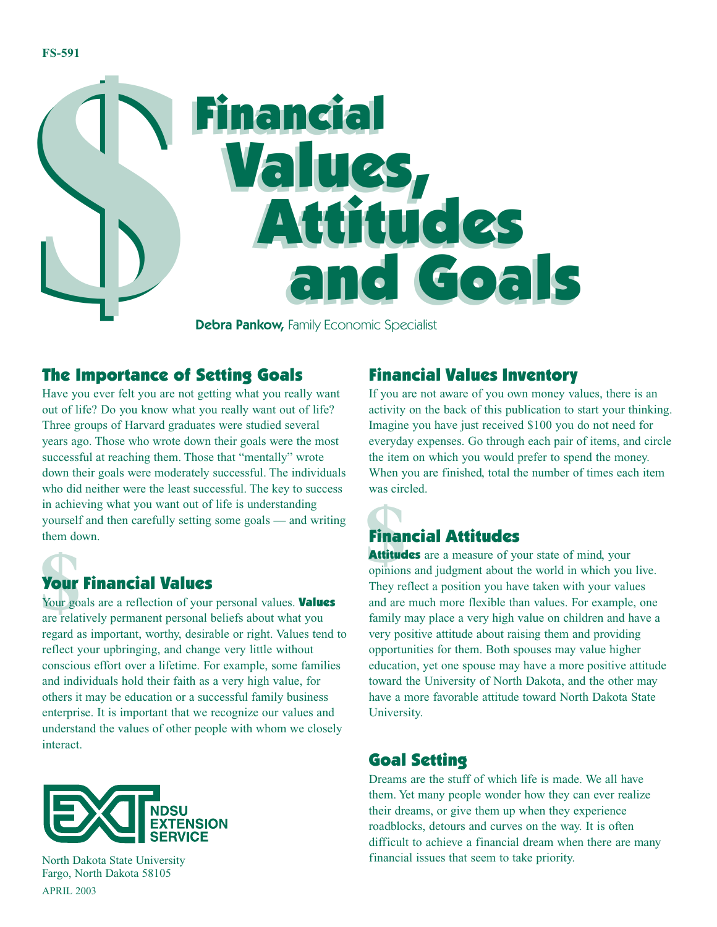

**Debra Pankow, Family Economic Specialist** 

#### The Importance of Setting Goals

in achieving what you want out of life is understanding<br>
yourself and then carefully setting some goals — and writing<br>
them down.<br> **Show there is a set of the started and the start of the start of your personal values.<br>
Yo** Have you ever felt you are not getting what you really want out of life? Do you know what you really want out of life? Three groups of Harvard graduates were studied several years ago. Those who wrote down their goals were the most successful at reaching them. Those that "mentally" wrote down their goals were moderately successful. The individuals who did neither were the least successful. The key to success in achieving what you want out of life is understanding yourself and then carefully setting some goals — and writing them down.

## Your Financial Values

Your goals are a reflection of your personal values. Values are relatively permanent personal beliefs about what you regard as important, worthy, desirable or right. Values tend to reflect your upbringing, and change very little without conscious effort over a lifetime. For example, some families and individuals hold their faith as a very high value, for others it may be education or a successful family business enterprise. It is important that we recognize our values and understand the values of other people with whom we closely interact.



```
Financial Values Inventory
```
If you are not aware of you own money values, there is an activity on the back of this publication to start your thinking. Imagine you have just received \$100 you do not need for everyday expenses. Go through each pair of items, and circle the item on which you would prefer to spend the money. When you are finished, total the number of times each item was circled.

### Financial Attitudes

Attitudes are a measure of your state of mind, your opinions and judgment about the world in which you live. They reflect a position you have taken with your values and are much more flexible than values. For example, one family may place a very high value on children and have a very positive attitude about raising them and providing opportunities for them. Both spouses may value higher education, yet one spouse may have a more positive attitude toward the University of North Dakota, and the other may have a more favorable attitude toward North Dakota State University.

#### Goal Setting

Dreams are the stuff of which life is made. We all have them. Yet many people wonder how they can ever realize their dreams, or give them up when they experience roadblocks, detours and curves on the way. It is often difficult to achieve a financial dream when there are many financial issues that seem to take priority.

North Dakota State University Fargo, North Dakota 58105 APRIL 2003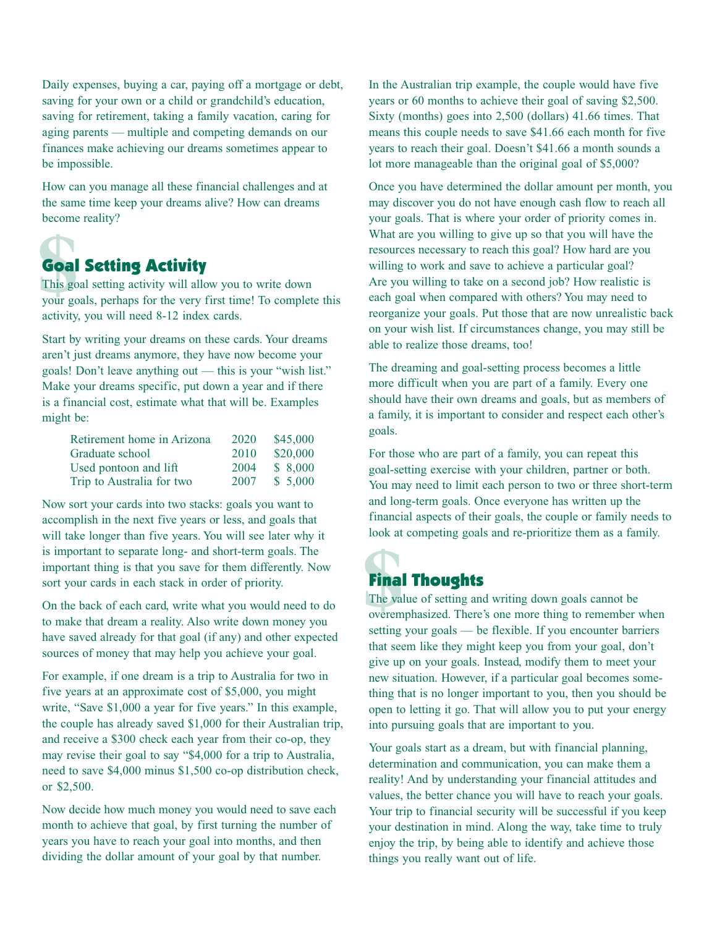Daily expenses, buying a car, paying off a mortgage or debt, saving for your own or a child or grandchild's education, saving for retirement, taking a family vacation, caring for aging parents — multiple and competing demands on our finances make achieving our dreams sometimes appear to be impossible.

How can you manage all these financial challenges and at the same time keep your dreams alive? How can dreams become reality?

# **foal**<br>This go<br>your go Goal Setting Activity

This goal setting activity will allow you to write down your goals, perhaps for the very first time! To complete this activity, you will need 8-12 index cards.

Start by writing your dreams on these cards. Your dreams aren't just dreams anymore, they have now become your goals! Don't leave anything out — this is your "wish list." Make your dreams specific, put down a year and if there is a financial cost, estimate what that will be. Examples might be:

| Retirement home in Arizona | 2020 | \$45,000 |
|----------------------------|------|----------|
| Graduate school            | 2010 | \$20,000 |
| Used pontoon and lift      | 2004 | \$8,000  |
| Trip to Australia for two  | 2007 | \$5,000  |

Now sort your cards into two stacks: goals you want to accomplish in the next five years or less, and goals that will take longer than five years. You will see later why it is important to separate long- and short-term goals. The important thing is that you save for them differently. Now sort your cards in each stack in order of priority.

On the back of each card, write what you would need to do to make that dream a reality. Also write down money you have saved already for that goal (if any) and other expected sources of money that may help you achieve your goal.

For example, if one dream is a trip to Australia for two in five years at an approximate cost of \$5,000, you might write, "Save \$1,000 a year for five years." In this example, the couple has already saved \$1,000 for their Australian trip, and receive a \$300 check each year from their co-op, they may revise their goal to say "\$4,000 for a trip to Australia, need to save \$4,000 minus \$1,500 co-op distribution check, or \$2,500.

Now decide how much money you would need to save each month to achieve that goal, by first turning the number of years you have to reach your goal into months, and then dividing the dollar amount of your goal by that number.

In the Australian trip example, the couple would have five years or 60 months to achieve their goal of saving \$2,500. Sixty (months) goes into 2,500 (dollars) 41.66 times. That means this couple needs to save \$41.66 each month for five years to reach their goal. Doesn't \$41.66 a month sounds a lot more manageable than the original goal of \$5,000?

Once you have determined the dollar amount per month, you may discover you do not have enough cash flow to reach all your goals. That is where your order of priority comes in. What are you willing to give up so that you will have the resources necessary to reach this goal? How hard are you willing to work and save to achieve a particular goal? Are you willing to take on a second job? How realistic is each goal when compared with others? You may need to reorganize your goals. Put those that are now unrealistic back on your wish list. If circumstances change, you may still be able to realize those dreams, too!

The dreaming and goal-setting process becomes a little more difficult when you are part of a family. Every one should have their own dreams and goals, but as members of a family, it is important to consider and respect each other's goals.

For those who are part of a family, you can repeat this goal-setting exercise with your children, partner or both. You may need to limit each person to two or three short-term and long-term goals. Once everyone has written up the financial aspects of their goals, the couple or family needs to look at competing goals and re-prioritize them as a family.

### Final Thoughts

**\$**<br>The value The value of setting and writing down goals cannot be overemphasized. There's one more thing to remember when setting your goals — be flexible. If you encounter barriers that seem like they might keep you from your goal, don't give up on your goals. Instead, modify them to meet your new situation. However, if a particular goal becomes something that is no longer important to you, then you should be open to letting it go. That will allow you to put your energy into pursuing goals that are important to you.

Your goals start as a dream, but with financial planning, determination and communication, you can make them a reality! And by understanding your financial attitudes and values, the better chance you will have to reach your goals. Your trip to financial security will be successful if you keep your destination in mind. Along the way, take time to truly enjoy the trip, by being able to identify and achieve those things you really want out of life.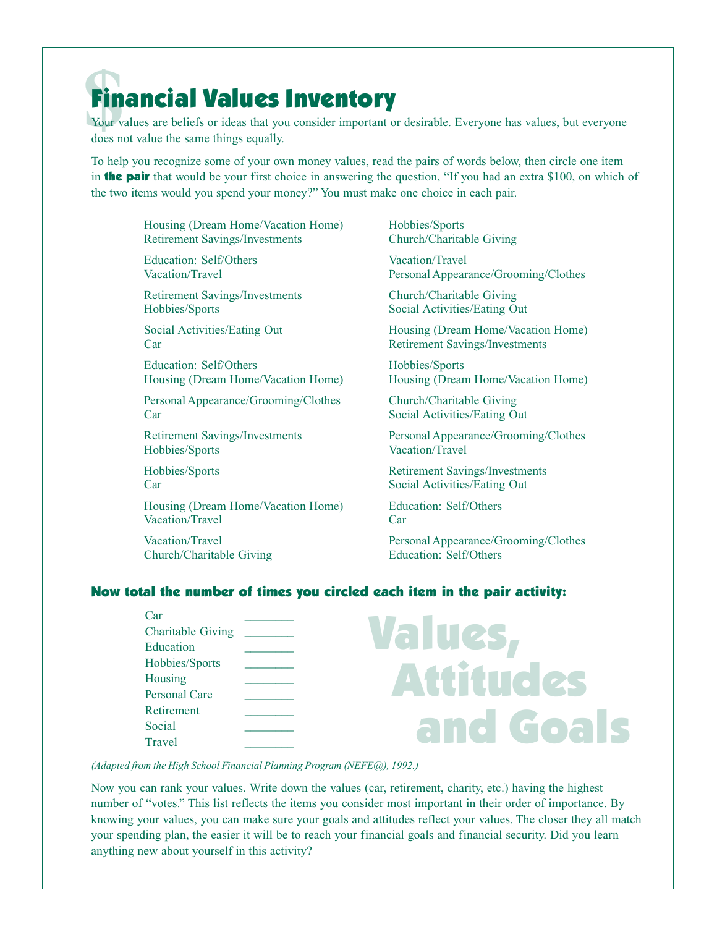## **\$**Financial Values Inventory

Your values are beliefs or ideas that you consider important or desirable. Everyone has values, but everyone does not value the same things equally.

To help you recognize some of your own money values, read the pairs of words below, then circle one item in **the pair** that would be your first choice in answering the question, "If you had an extra \$100, on which of the two items would you spend your money?" You must make one choice in each pair.

Housing (Dream Home/Vacation Home) Retirement Savings/Investments

Education: Self/Others Vacation/Travel

Retirement Savings/Investments Hobbies/Sports

Social Activities/Eating Out Car

Education: Self/Others Housing (Dream Home/Vacation Home)

Personal Appearance/Grooming/Clothes Car

Retirement Savings/Investments Hobbies/Sports

Hobbies/Sports Car

Housing (Dream Home/Vacation Home) Vacation/Travel

Vacation/Travel Church/Charitable Giving

Hobbies/Sports Church/Charitable Giving

Vacation/Travel Personal Appearance/Grooming/Clothes

Church/Charitable Giving Social Activities/Eating Out

Housing (Dream Home/Vacation Home) Retirement Savings/Investments

Hobbies/Sports Housing (Dream Home/Vacation Home)

Church/Charitable Giving Social Activities/Eating Out

Personal Appearance/Grooming/Clothes Vacation/Travel

Retirement Savings/Investments Social Activities/Eating Out

Education: Self/Others Car

Personal Appearance/Grooming/Clothes Education: Self/Others

#### Now total the number of times you circled each item in the pair activity:

 $Car$   $\qquad \qquad \qquad$ Charitable Giving \_ Education Hobbies/Sports \_\_\_\_\_\_\_\_ Housing \_\_\_\_\_\_\_\_ Personal Care Retirement \_\_\_\_\_\_\_\_ Social \_\_\_\_\_\_\_\_ Travel \_\_\_\_\_\_\_\_

# Values, Attitudes and Goals

*(Adapted from the High School Financial Planning Program (NEFE@), 1992.)*

Now you can rank your values. Write down the values (car, retirement, charity, etc.) having the highest number of "votes." This list reflects the items you consider most important in their order of importance. By knowing your values, you can make sure your goals and attitudes reflect your values. The closer they all match your spending plan, the easier it will be to reach your financial goals and financial security. Did you learn anything new about yourself in this activity?